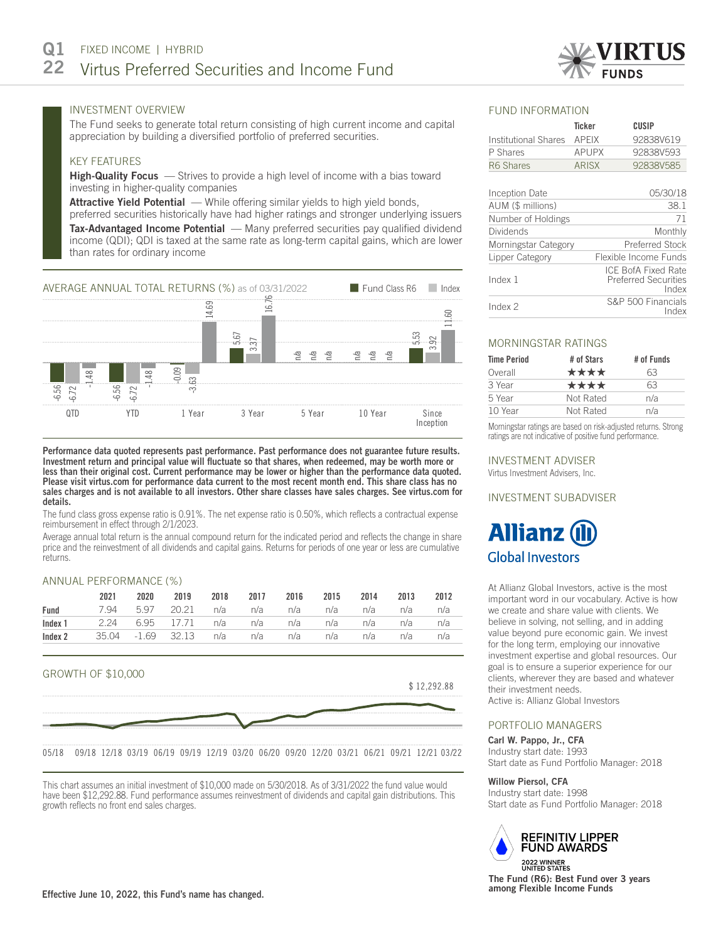

Index

# INVESTMENT OVERVIEW

The Fund seeks to generate total return consisting of high current income and capital appreciation by building a diversified portfolio of preferred securities.

# KEY FEATURES

High-Quality Focus – Strives to provide a high level of income with a bias toward investing in higher-quality companies

Attractive Yield Potential — While offering similar yields to high yield bonds,

preferred securities historically have had higher ratings and stronger underlying issuers **Tax-Advantaged Income Potential** — Many preferred securities pay qualified dividend income (QDI); QDI is taxed at the same rate as long-term capital gains, which are lower than rates for ordinary income



Performance data quoted represents past performance. Past performance does not guarantee future results. Investment return and principal value will fluctuate so that shares, when redeemed, may be worth more or less than their original cost. Current performance may be lower or higher than the performance data quoted. Please visit virtus.com for performance data current to the most recent month end. This share class has no sales charges and is not available to all investors. Other share classes have sales charges. See virtus.com for details.

The fund class gross expense ratio is 0.91%. The net expense ratio is 0.50%, which reflects a contractual expense reimbursement in effect through 2/1/2023.

Average annual total return is the annual compound return for the indicated period and reflects the change in share price and the reinvestment of all dividends and capital gains. Returns for periods of one year or less are cumulative returns.

# ANNUAL PERFORMANCE (%)

|      | 2021                                                         | 2020 |                                             |  | 2019 2018 2017 2016 2015 2014 2013 2012 |  |  |
|------|--------------------------------------------------------------|------|---------------------------------------------|--|-----------------------------------------|--|--|
| Fund |                                                              |      | 7.94 5.97 20.21 n/a n/a n/a n/a n/a n/a n/a |  |                                         |  |  |
|      | <b>Index 1</b> 2.24 6.95 17.71 n/a n/a n/a n/a n/a n/a n/a   |      |                                             |  |                                         |  |  |
|      | <b>Index 2</b> 35.04 -1.69 32.13 n/a n/a n/a n/a n/a n/a n/a |      |                                             |  |                                         |  |  |



This chart assumes an initial investment of \$10,000 made on 5/30/2018. As of 3/31/2022 the fund value would have been \$12,292.88. Fund performance assumes reinvestment of dividends and capital gain distributions. This growth reflects no front end sales charges.

#### FUND INFORMATION

|                      | <b>Ticker</b> | CUSIP                                                       |
|----------------------|---------------|-------------------------------------------------------------|
| Institutional Shares | <b>APEIX</b>  | 92838V619                                                   |
| P Shares             | <b>APUPX</b>  | 92838V593                                                   |
| R6 Shares            | <b>ARISX</b>  | 92838V585                                                   |
|                      |               |                                                             |
| Inception Date       |               | 05/30/18                                                    |
| AUM (\$ millions)    |               | 38.1                                                        |
| Number of Holdings   |               | 71                                                          |
| Dividends            |               | Monthly                                                     |
| Morningstar Category |               | <b>Preferred Stock</b>                                      |
| Lipper Category      |               | Flexible Income Funds                                       |
| Index 1              |               | ICE BofA Fixed Rate<br><b>Preferred Securities</b><br>Index |
| Index 2              |               | S&P 500 Financials<br>nAov                                  |

## MORNINGSTAR RATINGS

| # of Stars | # of Funds |
|------------|------------|
| ****       | 63         |
| ****       | 63         |
| Not Rated  | n/a        |
| Not Rated  | n/a        |
|            |            |

Morningstar ratings are based on risk-adjusted returns. Strong ratings are not indicative of positive fund performance.

## INVESTMENT ADVISER

Virtus Investment Advisers, Inc.

## INVESTMENT SUBADVISER

# **Allianz Global Investors**

At Allianz Global Investors, active is the most important word in our vocabulary. Active is how we create and share value with clients. We believe in solving, not selling, and in adding value beyond pure economic gain. We invest for the long term, employing our innovative investment expertise and global resources. Our goal is to ensure a superior experience for our clients, wherever they are based and whatever their investment needs. Active is: Allianz Global Investors

# PORTFOLIO MANAGERS

Carl W. Pappo, Jr., CFA Industry start date: 1993 Start date as Fund Portfolio Manager: 2018

#### Willow Piersol, CFA

Industry start date: 1998 Start date as Fund Portfolio Manager: 2018



2022 WINNER<br>UNITED STATES The Fund (R6): Best Fund over 3 years among Flexible Income Funds